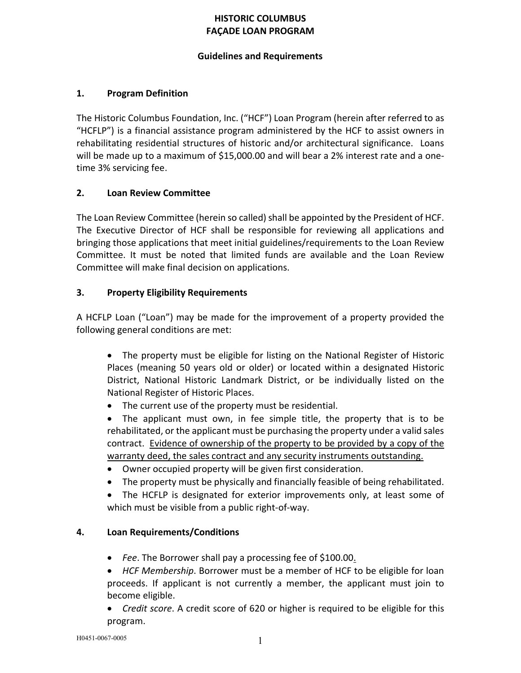# HISTORIC COLUMBUS FAÇADE LOAN PROGRAM

### Guidelines and Requirements

### 1. Program Definition

The Historic Columbus Foundation, Inc. ("HCF") Loan Program (herein after referred to as "HCFLP") is a financial assistance program administered by the HCF to assist owners in rehabilitating residential structures of historic and/or architectural significance. Loans will be made up to a maximum of \$15,000.00 and will bear a 2% interest rate and a onetime 3% servicing fee.

#### 2. Loan Review Committee

The Loan Review Committee (herein so called) shall be appointed by the President of HCF. The Executive Director of HCF shall be responsible for reviewing all applications and bringing those applications that meet initial guidelines/requirements to the Loan Review Committee. It must be noted that limited funds are available and the Loan Review Committee will make final decision on applications.

### 3. Property Eligibility Requirements

A HCFLP Loan ("Loan") may be made for the improvement of a property provided the following general conditions are met:

 The property must be eligible for listing on the National Register of Historic Places (meaning 50 years old or older) or located within a designated Historic District, National Historic Landmark District, or be individually listed on the National Register of Historic Places.

• The current use of the property must be residential.

 The applicant must own, in fee simple title, the property that is to be rehabilitated, or the applicant must be purchasing the property under a valid sales contract. Evidence of ownership of the property to be provided by a copy of the warranty deed, the sales contract and any security instruments outstanding.

- Owner occupied property will be given first consideration.
- The property must be physically and financially feasible of being rehabilitated.

 The HCFLP is designated for exterior improvements only, at least some of which must be visible from a public right-of-way.

### 4. Loan Requirements/Conditions

- *Fee*. The Borrower shall pay a processing fee of \$100.00.
- *HCF Membership*. Borrower must be a member of HCF to be eligible for loan proceeds. If applicant is not currently a member, the applicant must join to become eligible.
- *Credit score*. A credit score of 620 or higher is required to be eligible for this program.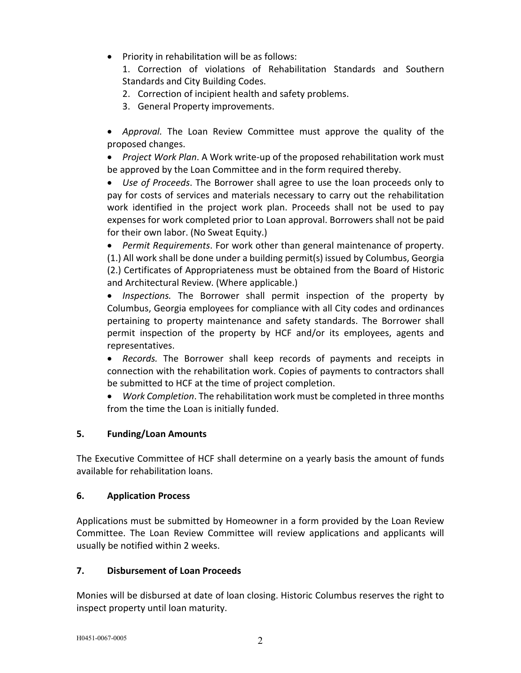• Priority in rehabilitation will be as follows:

1. Correction of violations of Rehabilitation Standards and Southern Standards and City Building Codes.

- 2. Correction of incipient health and safety problems.
- 3. General Property improvements.
- *Approval.* The Loan Review Committee must approve the quality of the proposed changes.

 *Project Work Plan*. A Work write-up of the proposed rehabilitation work must be approved by the Loan Committee and in the form required thereby.

 *Use of Proceeds*. The Borrower shall agree to use the loan proceeds only to pay for costs of services and materials necessary to carry out the rehabilitation work identified in the project work plan. Proceeds shall not be used to pay expenses for work completed prior to Loan approval. Borrowers shall not be paid for their own labor. (No Sweat Equity.)

 *Permit Requirements*. For work other than general maintenance of property. (1.) All work shall be done under a building permit(s) issued by Columbus, Georgia (2.) Certificates of Appropriateness must be obtained from the Board of Historic and Architectural Review. (Where applicable.)

 *Inspections.* The Borrower shall permit inspection of the property by Columbus, Georgia employees for compliance with all City codes and ordinances pertaining to property maintenance and safety standards. The Borrower shall permit inspection of the property by HCF and/or its employees, agents and representatives.

 *Records.* The Borrower shall keep records of payments and receipts in connection with the rehabilitation work. Copies of payments to contractors shall be submitted to HCF at the time of project completion.

 *Work Completion*. The rehabilitation work must be completed in three months from the time the Loan is initially funded.

## 5. Funding/Loan Amounts

The Executive Committee of HCF shall determine on a yearly basis the amount of funds available for rehabilitation loans.

## 6. Application Process

Applications must be submitted by Homeowner in a form provided by the Loan Review Committee. The Loan Review Committee will review applications and applicants will usually be notified within 2 weeks.

## 7. Disbursement of Loan Proceeds

Monies will be disbursed at date of loan closing. Historic Columbus reserves the right to inspect property until loan maturity.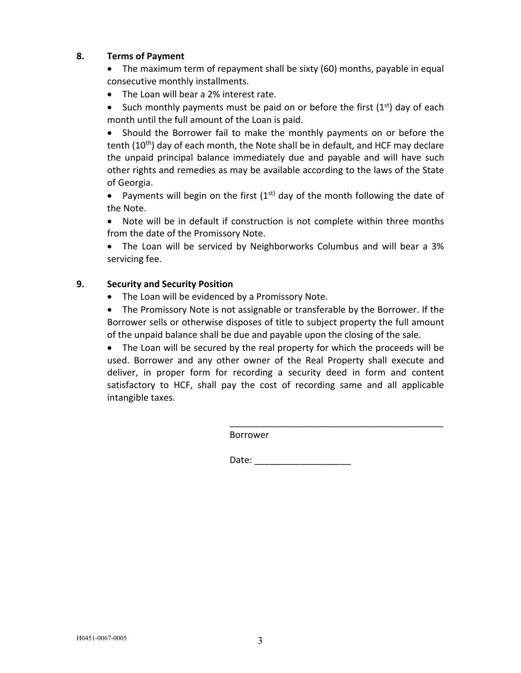### 8. Terms of Payment

• The maximum term of repayment shall be sixty (60) months, payable in equal consecutive monthly installments.

• The Loan will bear a 2% interest rate.

• Such monthly payments must be paid on or before the first  $(1<sup>st</sup>)$  day of each month until the full amount of the Loan is paid.

 Should the Borrower fail to make the monthly payments on or before the tenth (10<sup>th</sup>) day of each month, the Note shall be in default, and HCF may declare the unpaid principal balance immediately due and payable and will have such other rights and remedies as may be available according to the laws of the State of Georgia.

• Payments will begin on the first  $(1^{st})$  day of the month following the date of the Note.

 Note will be in default if construction is not complete within three months from the date of the Promissory Note.

 The Loan will be serviced by Neighborworks Columbus and will bear a 3% servicing fee.

### 9. Security and Security Position

• The Loan will be evidenced by a Promissory Note.

 The Promissory Note is not assignable or transferable by the Borrower. If the Borrower sells or otherwise disposes of title to subject property the full amount of the unpaid balance shall be due and payable upon the closing of the sale.

 The Loan will be secured by the real property for which the proceeds will be used. Borrower and any other owner of the Real Property shall execute and deliver, in proper form for recording a security deed in form and content satisfactory to HCF, shall pay the cost of recording same and all applicable intangible taxes.

Borrower

Date: \_\_\_\_\_\_\_\_\_\_\_\_\_\_\_\_\_\_\_

\_\_\_\_\_\_\_\_\_\_\_\_\_\_\_\_\_\_\_\_\_\_\_\_\_\_\_\_\_\_\_\_\_\_\_\_\_\_\_\_\_\_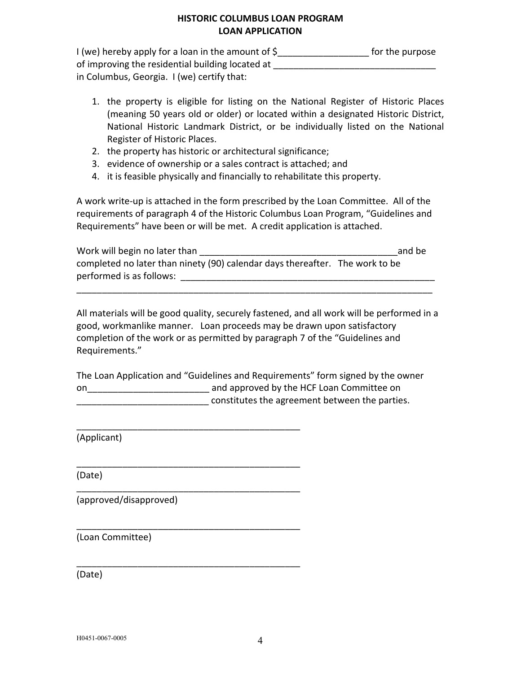### HISTORIC COLUMBUS LOAN PROGRAM LOAN APPLICATION

I (we) hereby apply for a loan in the amount of \$\_\_\_\_\_\_\_\_\_\_\_\_\_\_\_\_\_\_\_\_\_\_\_\_ for the purpose of improving the residential building located at \_\_\_\_\_\_\_\_\_\_\_\_\_\_\_\_\_\_\_\_\_\_\_\_\_\_\_\_\_\_\_\_ in Columbus, Georgia. I (we) certify that:

- 1. the property is eligible for listing on the National Register of Historic Places (meaning 50 years old or older) or located within a designated Historic District, National Historic Landmark District, or be individually listed on the National Register of Historic Places.
- 2. the property has historic or architectural significance;
- 3. evidence of ownership or a sales contract is attached; and
- 4. it is feasible physically and financially to rehabilitate this property.

A work write-up is attached in the form prescribed by the Loan Committee. All of the requirements of paragraph 4 of the Historic Columbus Loan Program, "Guidelines and Requirements" have been or will be met. A credit application is attached.

| Work will begin no later than                                                | and be |
|------------------------------------------------------------------------------|--------|
| completed no later than ninety (90) calendar days thereafter. The work to be |        |
| performed is as follows:                                                     |        |

\_\_\_\_\_\_\_\_\_\_\_\_\_\_\_\_\_\_\_\_\_\_\_\_\_\_\_\_\_\_\_\_\_\_\_\_\_\_\_\_\_\_\_\_\_\_\_\_\_\_\_\_\_\_\_\_\_\_\_\_\_\_\_\_\_\_\_\_\_\_

All materials will be good quality, securely fastened, and all work will be performed in a good, workmanlike manner. Loan proceeds may be drawn upon satisfactory completion of the work or as permitted by paragraph 7 of the "Guidelines and Requirements."

The Loan Application and "Guidelines and Requirements" form signed by the owner on\_\_\_\_\_\_\_\_\_\_\_\_\_\_\_\_\_\_\_\_\_\_\_\_ and approved by the HCF Loan Committee on constitutes the agreement between the parties.

\_\_\_\_\_\_\_\_\_\_\_\_\_\_\_\_\_\_\_\_\_\_\_\_\_\_\_\_\_\_\_\_\_\_\_\_\_\_\_\_\_\_\_\_

\_\_\_\_\_\_\_\_\_\_\_\_\_\_\_\_\_\_\_\_\_\_\_\_\_\_\_\_\_\_\_\_\_\_\_\_\_\_\_\_\_\_\_\_

\_\_\_\_\_\_\_\_\_\_\_\_\_\_\_\_\_\_\_\_\_\_\_\_\_\_\_\_\_\_\_\_\_\_\_\_\_\_\_\_\_\_\_\_

\_\_\_\_\_\_\_\_\_\_\_\_\_\_\_\_\_\_\_\_\_\_\_\_\_\_\_\_\_\_\_\_\_\_\_\_\_\_\_\_\_\_\_\_

\_\_\_\_\_\_\_\_\_\_\_\_\_\_\_\_\_\_\_\_\_\_\_\_\_\_\_\_\_\_\_\_\_\_\_\_\_\_\_\_\_\_\_\_

(Applicant)

(Date)

(approved/disapproved)

(Loan Committee)

(Date)